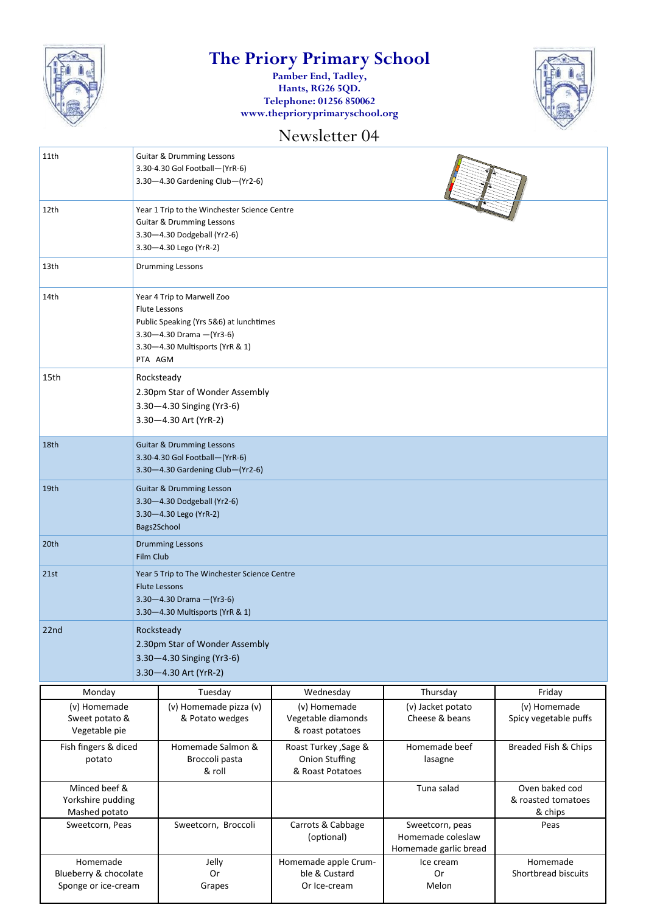

# **The Priory Primary School**

**Pamber End, Tadley, Hants, RG26 5QD. Telephone: 01256 850062 www.theprioryprimaryschool.org**



### Newsletter 04

| 11th                                                     | <b>Guitar &amp; Drumming Lessons</b><br>3.30-4.30 Gol Football-(YrR-6)<br>3.30-4.30 Gardening Club-(Yr2-6)                                                                    |                                               |                                                                    |                                                               |                                                 |  |
|----------------------------------------------------------|-------------------------------------------------------------------------------------------------------------------------------------------------------------------------------|-----------------------------------------------|--------------------------------------------------------------------|---------------------------------------------------------------|-------------------------------------------------|--|
| 12th                                                     | Year 1 Trip to the Winchester Science Centre<br><b>Guitar &amp; Drumming Lessons</b><br>3.30-4.30 Dodgeball (Yr2-6)<br>3.30-4.30 Lego (YrR-2)                                 |                                               |                                                                    |                                                               |                                                 |  |
| 13th                                                     | <b>Drumming Lessons</b>                                                                                                                                                       |                                               |                                                                    |                                                               |                                                 |  |
| 14th                                                     | Year 4 Trip to Marwell Zoo<br><b>Flute Lessons</b><br>Public Speaking (Yrs 5&6) at lunchtimes<br>$3.30 - 4.30$ Drama $-(Yr3-6)$<br>3.30-4.30 Multisports (YrR & 1)<br>PTA AGM |                                               |                                                                    |                                                               |                                                 |  |
| 15th                                                     | Rocksteady<br>2.30pm Star of Wonder Assembly<br>3.30-4.30 Singing (Yr3-6)<br>3.30-4.30 Art (YrR-2)                                                                            |                                               |                                                                    |                                                               |                                                 |  |
| 18th                                                     | <b>Guitar &amp; Drumming Lessons</b><br>3.30-4.30 Gol Football-(YrR-6)<br>3.30-4.30 Gardening Club-(Yr2-6)                                                                    |                                               |                                                                    |                                                               |                                                 |  |
| 19th                                                     | <b>Guitar &amp; Drumming Lesson</b><br>3.30-4.30 Dodgeball (Yr2-6)<br>3.30-4.30 Lego (YrR-2)<br>Bags2School                                                                   |                                               |                                                                    |                                                               |                                                 |  |
| 20th                                                     |                                                                                                                                                                               | <b>Drumming Lessons</b><br>Film Club          |                                                                    |                                                               |                                                 |  |
| 21st                                                     | Year 5 Trip to The Winchester Science Centre<br><b>Flute Lessons</b><br>3.30-4.30 Drama - (Yr3-6)<br>3.30-4.30 Multisports (YrR & 1)                                          |                                               |                                                                    |                                                               |                                                 |  |
| 22nd                                                     | Rocksteady<br>2.30pm Star of Wonder Assembly<br>3.30-4.30 Singing (Yr3-6)<br>3.30-4.30 Art (YrR-2)                                                                            |                                               |                                                                    |                                                               |                                                 |  |
| Monday                                                   |                                                                                                                                                                               | Tuesday                                       | Wednesday                                                          | Thursday                                                      | Friday                                          |  |
| (v) Homemade<br>Sweet potato &<br>Vegetable pie          |                                                                                                                                                                               | (v) Homemade pizza (v)<br>& Potato wedges     | (v) Homemade<br>Vegetable diamonds<br>& roast potatoes             | (v) Jacket potato<br>Cheese & beans                           | (v) Homemade<br>Spicy vegetable puffs           |  |
| Fish fingers & diced<br>potato                           |                                                                                                                                                                               | Homemade Salmon &<br>Broccoli pasta<br>& roll | Roast Turkey , Sage &<br><b>Onion Stuffing</b><br>& Roast Potatoes | Homemade beef<br>lasagne                                      | Breaded Fish & Chips                            |  |
| Minced beef &<br>Yorkshire pudding<br>Mashed potato      |                                                                                                                                                                               |                                               |                                                                    | Tuna salad                                                    | Oven baked cod<br>& roasted tomatoes<br>& chips |  |
| Sweetcorn, Peas                                          |                                                                                                                                                                               | Sweetcorn, Broccoli                           | Carrots & Cabbage<br>(optional)                                    | Sweetcorn, peas<br>Homemade coleslaw<br>Homemade garlic bread | Peas                                            |  |
| Homemade<br>Blueberry & chocolate<br>Sponge or ice-cream |                                                                                                                                                                               | Jelly<br>Or<br>Grapes                         | Homemade apple Crum-<br>ble & Custard<br>Or Ice-cream              | Ice cream<br>0r<br>Melon                                      | Homemade<br>Shortbread biscuits                 |  |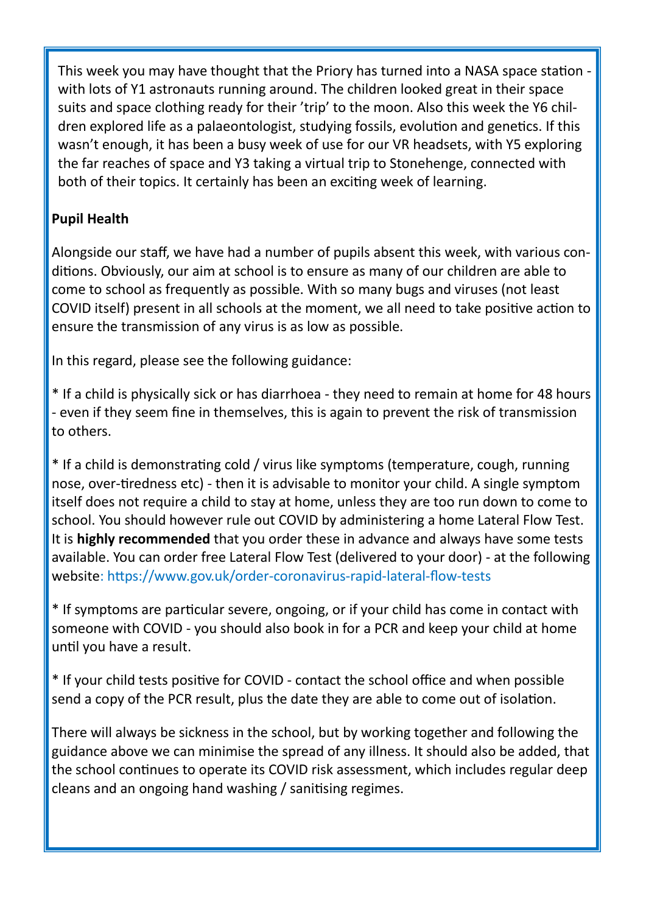This week you may have thought that the Priory has turned into a NASA space station with lots of Y1 astronauts running around. The children looked great in their space suits and space clothing ready for their 'trip' to the moon. Also this week the Y6 children explored life as a palaeontologist, studying fossils, evolution and genetics. If this wasn't enough, it has been a busy week of use for our VR headsets, with Y5 exploring the far reaches of space and Y3 taking a virtual trip to Stonehenge, connected with both of their topics. It certainly has been an exciting week of learning.

### **Pupil Health**

Alongside our staff, we have had a number of pupils absent this week, with various conditions. Obviously, our aim at school is to ensure as many of our children are able to come to school as frequently as possible. With so many bugs and viruses (not least COVID itself) present in all schools at the moment, we all need to take positive action to ensure the transmission of any virus is as low as possible.

In this regard, please see the following guidance:

\* If a child is physically sick or has diarrhoea - they need to remain at home for 48 hours - even if they seem fine in themselves, this is again to prevent the risk of transmission to others.

\* If a child is demonstrating cold / virus like symptoms (temperature, cough, running nose, over-tiredness etc) - then it is advisable to monitor your child. A single symptom itself does not require a child to stay at home, unless they are too run down to come to school. You should however rule out COVID by administering a home Lateral Flow Test. It is **highly recommended** that you order these in advance and always have some tests available. You can order free Lateral Flow Test (delivered to your door) - at the following website: https://www.gov.uk/order-coronavirus-rapid-lateral-flow-tests

\* If symptoms are particular severe, ongoing, or if your child has come in contact with someone with COVID - you should also book in for a PCR and keep your child at home until you have a result.

\* If your child tests positive for COVID - contact the school office and when possible send a copy of the PCR result, plus the date they are able to come out of isolation.

There will always be sickness in the school, but by working together and following the guidance above we can minimise the spread of any illness. It should also be added, that the school continues to operate its COVID risk assessment, which includes regular deep cleans and an ongoing hand washing / sanitising regimes.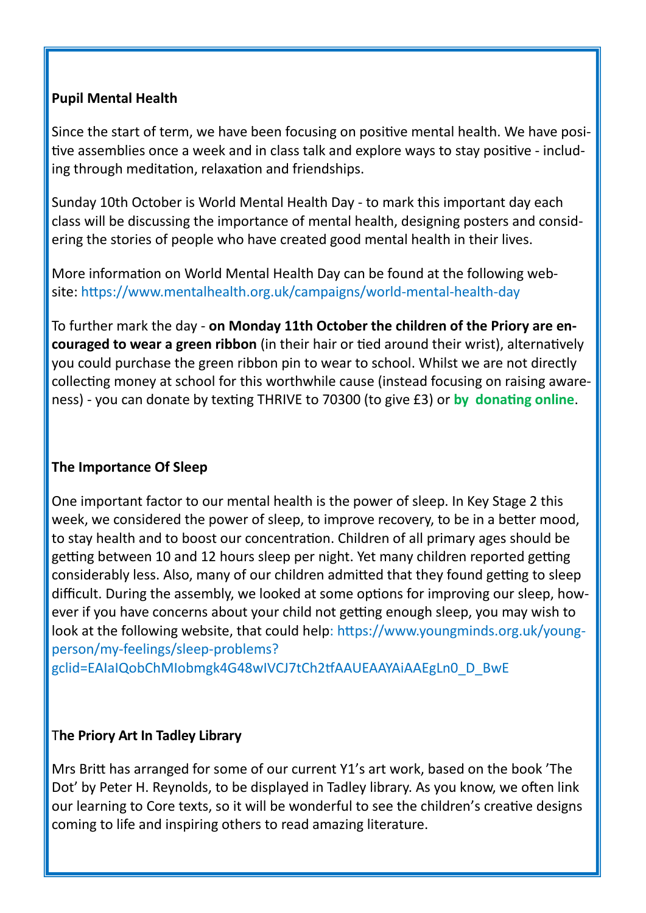#### **Pupil Mental Health**

Since the start of term, we have been focusing on positive mental health. We have positive assemblies once a week and in class talk and explore ways to stay positive - including through meditation, relaxation and friendships.

Sunday 10th October is World Mental Health Day - to mark this important day each class will be discussing the importance of mental health, designing posters and considering the stories of people who have created good mental health in their lives.

More information on World Mental Health Day can be found at the following website: https://www.mentalhealth.org.uk/campaigns/world-mental-health-day

To further mark the day - **on Monday 11th October the children of the Priory are encouraged to wear a green ribbon** (in their hair or tied around their wrist), alternatively you could purchase the green ribbon pin to wear to school. Whilst we are not directly collecting money at school for this worthwhile cause (instead focusing on raising awareness) - you can donate by texting THRIVE to 70300 (to give £3) or **by donating online**.

#### **The Importance Of Sleep**

One important factor to our mental health is the power of sleep. In Key Stage 2 this week, we considered the power of sleep, to improve recovery, to be in a better mood, to stay health and to boost our concentration. Children of all primary ages should be getting between 10 and 12 hours sleep per night. Yet many children reported getting considerably less. Also, many of our children admitted that they found getting to sleep difficult. During the assembly, we looked at some options for improving our sleep, however if you have concerns about your child not getting enough sleep, you may wish to look at the following website, that could help: https://www.youngminds.org.uk/youngperson/my-feelings/sleep-problems?

gclid=EAIaIQobChMIobmgk4G48wIVCJ7tCh2tfAAUEAAYAiAAEgLn0\_D\_BwE

#### T**he Priory Art In Tadley Library**

Mrs Britt has arranged for some of our current Y1's art work, based on the book 'The Dot' by Peter H. Reynolds, to be displayed in Tadley library. As you know, we often link our learning to Core texts, so it will be wonderful to see the children's creative designs coming to life and inspiring others to read amazing literature.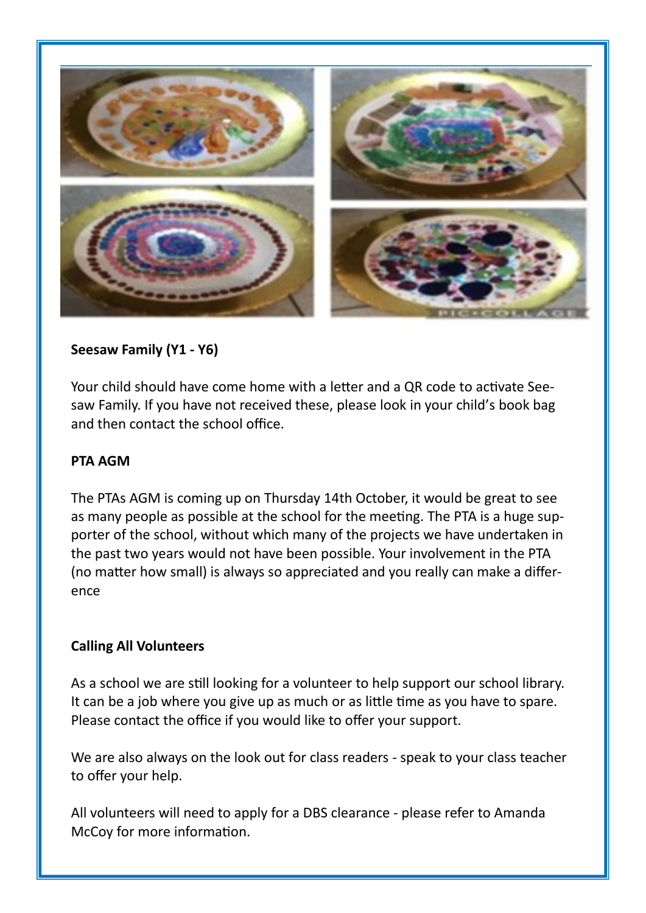

#### **Seesaw Family (Y1 - Y6)**

Your child should have come home with a letter and a QR code to activate Seesaw Family. If you have not received these, please look in your child's book bag and then contact the school office.

#### **PTA AGM**

The PTAs AGM is coming up on Thursday 14th October, it would be great to see as many people as possible at the school for the meeting. The PTA is a huge supporter of the school, without which many of the projects we have undertaken in the past two years would not have been possible. Your involvement in the PTA (no matter how small) is always so appreciated and you really can make a difference

#### **Calling All Volunteers**

As a school we are still looking for a volunteer to help support our school library. It can be a job where you give up as much or as little time as you have to spare. Please contact the office if you would like to offer your support.

We are also always on the look out for class readers - speak to your class teacher to offer your help.

All volunteers will need to apply for a DBS clearance - please refer to Amanda McCoy for more information.